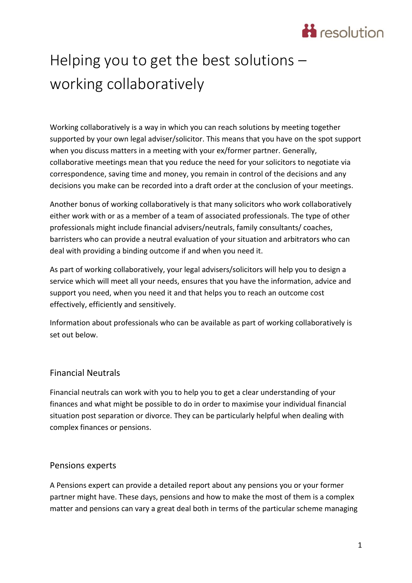# **H** resolution

# Helping you to get the best solutions – working collaboratively

Working collaboratively is a way in which you can reach solutions by meeting together supported by your own legal adviser/solicitor. This means that you have on the spot support when you discuss matters in a meeting with your ex/former partner. Generally, collaborative meetings mean that you reduce the need for your solicitors to negotiate via correspondence, saving time and money, you remain in control of the decisions and any decisions you make can be recorded into a draft order at the conclusion of your meetings.

Another bonus of working collaboratively is that many solicitors who work collaboratively either work with or as a member of a team of associated professionals. The type of other professionals might include financial advisers/neutrals, family consultants/ coaches, barristers who can provide a neutral evaluation of your situation and arbitrators who can deal with providing a binding outcome if and when you need it.

As part of working collaboratively, your legal advisers/solicitors will help you to design a service which will meet all your needs, ensures that you have the information, advice and support you need, when you need it and that helps you to reach an outcome cost effectively, efficiently and sensitively.

Information about professionals who can be available as part of working collaboratively is set out below.

## Financial Neutrals

Financial neutrals can work with you to help you to get a clear understanding of your finances and what might be possible to do in order to maximise your individual financial situation post separation or divorce. They can be particularly helpful when dealing with complex finances or pensions.

## Pensions experts

A Pensions expert can provide a detailed report about any pensions you or your former partner might have. These days, pensions and how to make the most of them is a complex matter and pensions can vary a great deal both in terms of the particular scheme managing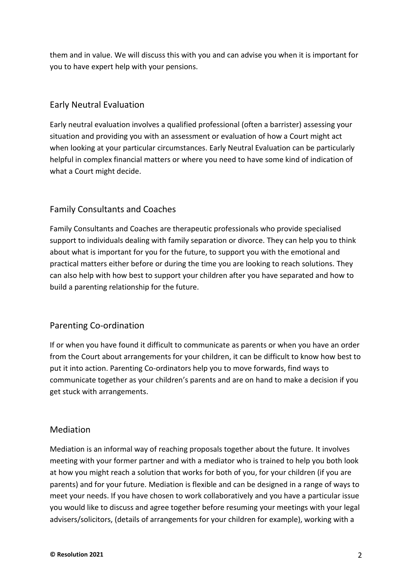them and in value. We will discuss this with you and can advise you when it is important for you to have expert help with your pensions.

# Early Neutral Evaluation

Early neutral evaluation involves a qualified professional (often a barrister) assessing your situation and providing you with an assessment or evaluation of how a Court might act when looking at your particular circumstances. Early Neutral Evaluation can be particularly helpful in complex financial matters or where you need to have some kind of indication of what a Court might decide.

# Family Consultants and Coaches

Family Consultants and Coaches are therapeutic professionals who provide specialised support to individuals dealing with family separation or divorce. They can help you to think about what is important for you for the future, to support you with the emotional and practical matters either before or during the time you are looking to reach solutions. They can also help with how best to support your children after you have separated and how to build a parenting relationship for the future.

## Parenting Co-ordination

If or when you have found it difficult to communicate as parents or when you have an order from the Court about arrangements for your children, it can be difficult to know how best to put it into action. Parenting Co-ordinators help you to move forwards, find ways to communicate together as your children's parents and are on hand to make a decision if you get stuck with arrangements.

## Mediation

Mediation is an informal way of reaching proposals together about the future. It involves meeting with your former partner and with a mediator who is trained to help you both look at how you might reach a solution that works for both of you, for your children (if you are parents) and for your future. Mediation is flexible and can be designed in a range of ways to meet your needs. If you have chosen to work collaboratively and you have a particular issue you would like to discuss and agree together before resuming your meetings with your legal advisers/solicitors, (details of arrangements for your children for example), working with a